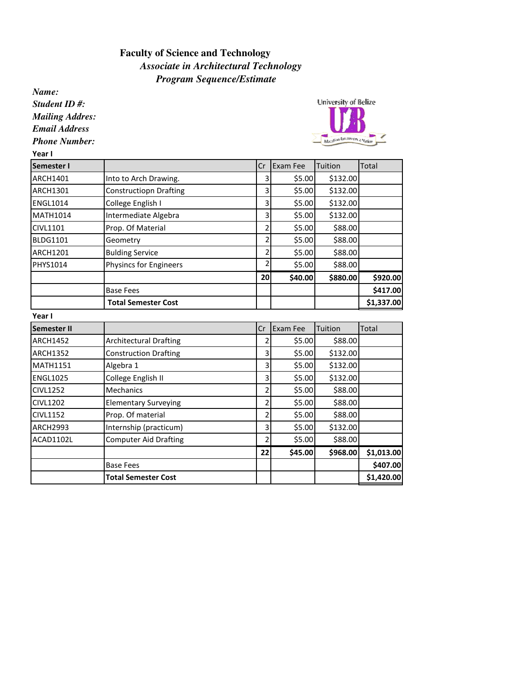## *Program Sequence/Estimate* **Faculty of Science and Technology**  *Associate in Architectural Technology*

*Name: Student ID #:*

*Mailing Addres:*

*Email Address*

*Phone Number:*

Year I



| Semester I         |                               | Cr             | Exam Fee | Tuition  | Total      |
|--------------------|-------------------------------|----------------|----------|----------|------------|
| ARCH1401           | Into to Arch Drawing.         | 3              | \$5.00   | \$132.00 |            |
| <b>ARCH1301</b>    | <b>Constructiopn Drafting</b> | 3              | \$5.00   | \$132.00 |            |
| <b>ENGL1014</b>    | College English I             | 3              | \$5.00   | \$132.00 |            |
| <b>MATH1014</b>    | Intermediate Algebra          | 3              | \$5.00   | \$132.00 |            |
| CIVL1101           | Prop. Of Material             | $\overline{2}$ | \$5.00   | \$88.00  |            |
| <b>BLDG1101</b>    | Geometry                      | $\overline{2}$ | \$5.00   | \$88.00  |            |
| <b>ARCH1201</b>    | <b>Bulding Service</b>        | $\overline{2}$ | \$5.00   | \$88.00  |            |
| PHYS1014           | Physincs for Engineers        | 2              | \$5.00   | \$88.00  |            |
|                    |                               | 20             | \$40.00  | \$880.00 | \$920.00   |
|                    | <b>Base Fees</b>              |                |          |          | \$417.00   |
|                    | <b>Total Semester Cost</b>    |                |          |          | \$1,337.00 |
| Year I             |                               |                |          |          |            |
| <b>Semester II</b> |                               | Cr             | Exam Fee | Tuition  | Total      |
| <b>ARCH1452</b>    | <b>Architectural Drafting</b> | 2              | \$5.00   | \$88.00  |            |
| <b>ARCH1352</b>    | <b>Construction Drafting</b>  | 3              | \$5.00   | \$132.00 |            |
| <b>MATH1151</b>    | Algebra 1                     | 3              | \$5.00   | \$132.00 |            |
| <b>ENGL1025</b>    | College English II            | 3              | \$5.00   | \$132.00 |            |
| <b>CIVL1252</b>    | <b>Mechanics</b>              | $\overline{2}$ | \$5.00   | \$88.00  |            |
| <b>CIVL1202</b>    | <b>Elementary Surveying</b>   | $\overline{2}$ | \$5.00   | \$88.00  |            |
| <b>CIVL1152</b>    | Prop. Of material             | $\overline{2}$ | \$5.00   | \$88.00  |            |
| <b>ARCH2993</b>    | Internship (practicum)        | 3              | \$5.00   | \$132.00 |            |
| ACAD1102L          | <b>Computer Aid Drafting</b>  | 2              | \$5.00   | \$88.00  |            |
|                    |                               | 22             | \$45.00  | \$968.00 | \$1,013.00 |

Base Fees \$407.00 Total Semester Cost **1** | | | | | | | \$1,420.00